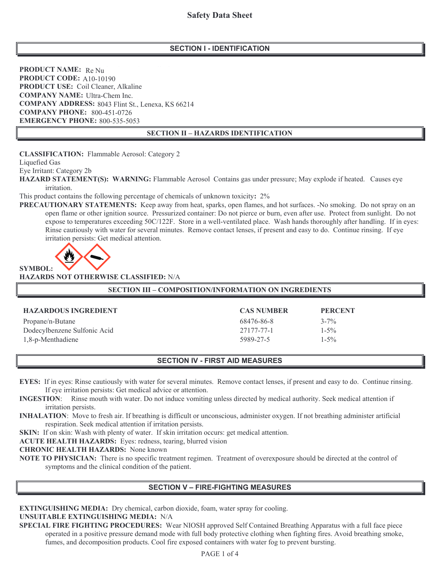### **SECTION I - IDENTIFICATION**

**PRODUCT NAME:** Re Nu PRODUCT CODE: A10-10190 **PRODUCT USE:** Coil Cleaner, Alkaline **COMPANY NAME:** Ultra-Chem Inc. **COMPANY ADDRESS:** 8043 Flint St., Lenexa, KS 66214 **COMPANY PHONE: 800-451-0726 EMERGENCY PHONE: 800-535-5053** 

### **SECTION II - HAZARDS IDENTIFICATION**

**CLASSIFICATION:** Flammable Aerosol: Category 2

Liquefied Gas

Eye Irritant: Category 2b

HAZARD STATEMENT(S): WARNING: Flammable Aerosol Contains gas under pressure; May explode if heated. Causes eye irritation.

This product contains the following percentage of chemicals of unknown toxicity: 2%

**PRECAUTIONARY STATEMENTS:** Keep away from heat, sparks, open flames, and hot surfaces. -No smoking. Do not spray on an open flame or other ignition source. Pressurized container: Do not pierce or burn, even after use. Protect from sunlight. Do not expose to temperatures exceeding 50C/122F. Store in a well-ventilated place. Wash hands thoroughly after handling. If in eyes: Rinse cautiously with water for several minutes. Remove contact lenses, if present and easy to do. Continue rinsing. If eye irritation persists: Get medical attention.



**HAZARDS NOT OTHERWISE CLASSIFIED: N/A** 

#### SECTION III - COMPOSITION/INFORMATION ON INGREDIENTS

| <b>HAZARDOUS INGREDIENT</b>  | <b>CAS NUMBER</b> | <b>PERCENT</b> |
|------------------------------|-------------------|----------------|
| Propane/n-Butane             | 68476-86-8        | $3 - 7\%$      |
| Dodecylbenzene Sulfonic Acid | 27177-77-1        | $1 - 5\%$      |
| 1,8-p-Menthadiene            | 5989-27-5         | $1 - 5\%$      |

#### **SECTION IV - FIRST AID MEASURES**

- EYES: If in eyes: Rinse cautiously with water for several minutes. Remove contact lenses, if present and easy to do. Continue rinsing. If eye irritation persists: Get medical advice or attention.
- **INGESTION:** Rinse mouth with water. Do not induce vomiting unless directed by medical authority. Seek medical attention if irritation persists.
- **INHALATION**: Move to fresh air. If breathing is difficult or unconscious, administer oxygen. If not breathing administer artificial respiration. Seek medical attention if irritation persists.

**SKIN:** If on skin: Wash with plenty of water. If skin irritation occurs: get medical attention.

**ACUTE HEALTH HAZARDS:** Eyes: redness, tearing, blurred vision

**CHRONIC HEALTH HAZARDS:** None known

NOTE TO PHYSICIAN: There is no specific treatment regimen. Treatment of overexposure should be directed at the control of symptoms and the clinical condition of the patient.

### **SECTION V - FIRE-FIGHTING MEASURES**

**EXTINGUISHING MEDIA:** Dry chemical, carbon dioxide, foam, water spray for cooling. UNSUITABLE EXTINGUISHING MEDIA: N/A

**SPECIAL FIRE FIGHTING PROCEDURES:** Wear NIOSH approved Self Contained Breathing Apparatus with a full face piece operated in a positive pressure demand mode with full body protective clothing when fighting fires. Avoid breathing smoke, fumes, and decomposition products. Cool fire exposed containers with water fog to prevent bursting.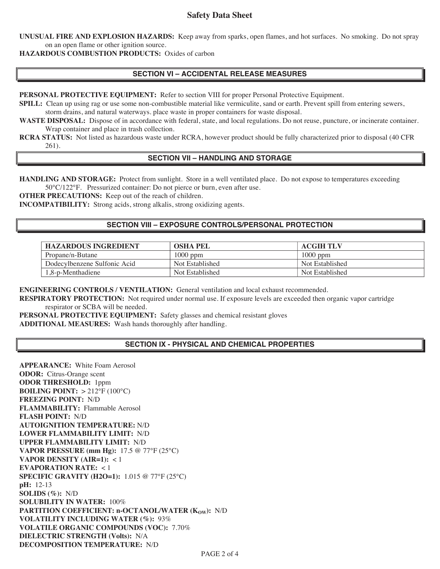# **Safety Data Sheet**

**UNUSUAL FIRE AND EXPLOSION HAZARDS:** Keep away from sparks, open flames, and hot surfaces. No smoking. Do not spray on an open flame or other ignition source.

**HAZARDOUS COMBUSTION PRODUCTS:** Oxides of carbon

### **SECTION VI – ACCIDENTAL RELEASE MEASURES**

**PERSONAL PROTECTIVE EQUIPMENT:** Refer to section VIII for proper Personal Protective Equipment.

**SPILL:** Clean up using rag or use some non-combustible material like vermiculite, sand or earth. Prevent spill from entering sewers, storm drains, and natural waterways. place waste in proper containers for waste disposal.

**WASTE DISPOSAL:** Dispose of in accordance with federal, state, and local regulations. Do not reuse, puncture, or incinerate container. Wrap container and place in trash collection.

**RCRA STATUS:** Not listed as hazardous waste under RCRA, however product should be fully characterized prior to disposal (40 CFR 261).

# **SECTION VII – HANDLING AND STORAGE**

**HANDLING AND STORAGE:** Protect from sunlight. Store in a well ventilated place. Do not expose to temperatures exceeding 50°C/122°F. Pressurized container: Do not pierce or burn, even after use.

**OTHER PRECAUTIONS:** Keep out of the reach of children.

**INCOMPATIBILITY:** Strong acids, strong alkalis, strong oxidizing agents.

#### **SECTION VIII – EXPOSURE CONTROLS/PERSONAL PROTECTION**

| <b>HAZARDOUS INGREDIENT</b>  | <b>OSHA PEL</b> | <b>ACGIH TLV</b> |
|------------------------------|-----------------|------------------|
| Propane/n-Butane             | 1000 ppm        | $1000$ ppm       |
| Dodecylbenzene Sulfonic Acid | Not Established | Not Established  |
| 1,8-p-Menthadiene            | Not Established | Not Established  |

**ENGINEERING CONTROLS / VENTILATION:** General ventilation and local exhaust recommended.

**RESPIRATORY PROTECTION:** Not required under normal use. If exposure levels are exceeded then organic vapor cartridge respirator or SCBA will be needed.

**PERSONAL PROTECTIVE EQUIPMENT:** Safety glasses and chemical resistant gloves **ADDITIONAL MEASURES:** Wash hands thoroughly after handling.

### **SECTION IX - PHYSICAL AND CHEMICAL PROPERTIES**

**APPEARANCE:** White Foam Aerosol **ODOR:** Citrus-Orange scent **ODOR THRESHOLD:** 1ppm **BOILING POINT:** > 212°F (100°C) **FREEZING POINT:** N/D **FLAMMABILITY:** Flammable Aerosol **FLASH POINT:** N/D **AUTOIGNITION TEMPERATURE:** N/D **LOWER FLAMMABILITY LIMIT:** N/D **UPPER FLAMMABILITY LIMIT:** N/D **VAPOR PRESSURE (mm Hg):** 17.5 @ 77°F (25°C) **VAPOR DENSITY (AIR=1):** < 1 **EVAPORATION RATE:** < 1 **SPECIFIC GRAVITY (H2O=1):** 1.015 @ 77°F (25°C) **pH:** 12-13 **SOLIDS (%):** N/D **SOLUBILITY IN WATER:** 100% **PARTITION COEFFICIENT: n-OCTANOL/WATER (K<sub>OW</sub>):** N/D **VOLATILITY INCLUDING WATER (%):** 93% **VOLATILE ORGANIC COMPOUNDS (VOC):** 7.70% **DIELECTRIC STRENGTH (Volts):** N/A **DECOMPOSITION TEMPERATURE:** N/D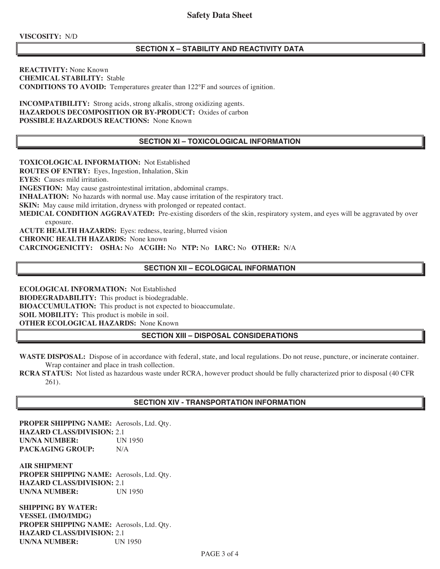**VISCOSITY:** N/D

## **SECTION X – STABILITY AND REACTIVITY DATA**

**REACTIVITY:** None Known **CHEMICAL STABILITY:** Stable **CONDITIONS TO AVOID:** Temperatures greater than 122°F and sources of ignition.

**INCOMPATIBILITY:** Strong acids, strong alkalis, strong oxidizing agents. **HAZARDOUS DECOMPOSITION OR BY-PRODUCT:** Oxides of carbon **POSSIBLE HAZARDOUS REACTIONS:** None Known

## **SECTION XI – TOXICOLOGICAL INFORMATION**

**TOXICOLOGICAL INFORMATION:** Not Established **ROUTES OF ENTRY:** Eyes, Ingestion, Inhalation, Skin **EYES:** Causes mild irritation. **INGESTION:** May cause gastrointestinal irritation, abdominal cramps. **INHALATION:** No hazards with normal use. May cause irritation of the respiratory tract. **SKIN:** May cause mild irritation, dryness with prolonged or repeated contact. **MEDICAL CONDITION AGGRAVATED:** Pre-existing disorders of the skin, respiratory system, and eyes will be aggravated by over exposure. **ACUTE HEALTH HAZARDS:** Eyes: redness, tearing, blurred vision **CHRONIC HEALTH HAZARDS:** None known **CARCINOGENICITY: OSHA:** No **ACGIH:** No **NTP:** No **IARC:** No **OTHER:** N/A

# **SECTION XII – ECOLOGICAL INFORMATION**

**ECOLOGICAL INFORMATION:** Not Established **BIODEGRADABILITY:** This product is biodegradable. **BIOACCUMULATION:** This product is not expected to bioaccumulate. **SOIL MOBILITY:** This product is mobile in soil. **OTHER ECOLOGICAL HAZARDS:** None Known

### **SECTION XIII – DISPOSAL CONSIDERATIONS**

**WASTE DISPOSAL:** Dispose of in accordance with federal, state, and local regulations. Do not reuse, puncture, or incinerate container. Wrap container and place in trash collection.

**RCRA STATUS:** Not listed as hazardous waste under RCRA, however product should be fully characterized prior to disposal (40 CFR 261).

# **SECTION XIV - TRANSPORTATION INFORMATION**

**PROPER SHIPPING NAME:** Aerosols, Ltd. Qty. **HAZARD CLASS/DIVISION:** 2.1 **UN/NA NUMBER:** UN 1950 **PACKAGING GROUP:** N/A

**AIR SHIPMENT PROPER SHIPPING NAME:** Aerosols, Ltd. Qty. **HAZARD CLASS/DIVISION:** 2.1 **UN/NA NUMBER:** UN 1950

**SHIPPING BY WATER: VESSEL (IMO/IMDG) PROPER SHIPPING NAME:** Aerosols, Ltd. Qty. **HAZARD CLASS/DIVISION:** 2.1 **UN/NA NUMBER:** UN 1950